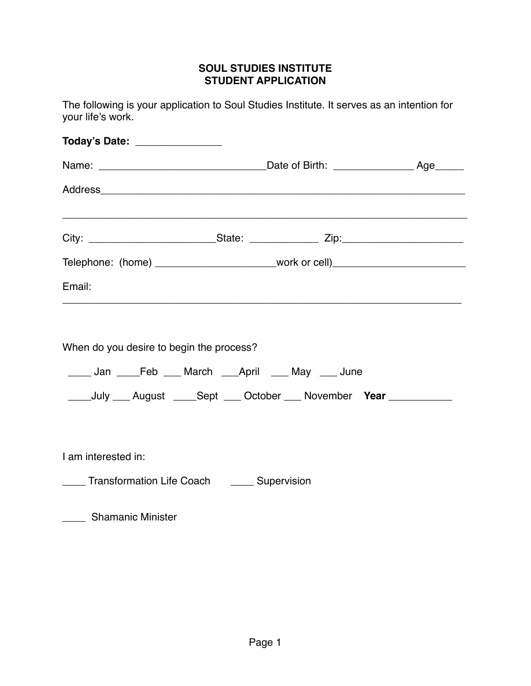## **SOUL STUDIES INSTITUTE STUDENT APPLICATION**

The following is your application to Soul Studies Institute. It serves as an intention for your life's work.

| Today's Date: ______________                                                                                                                                                      |  |  |
|-----------------------------------------------------------------------------------------------------------------------------------------------------------------------------------|--|--|
|                                                                                                                                                                                   |  |  |
|                                                                                                                                                                                   |  |  |
|                                                                                                                                                                                   |  |  |
| Telephone: (home) __________________________work or cell)_______________________                                                                                                  |  |  |
| Email:                                                                                                                                                                            |  |  |
| When do you desire to begin the process?<br>____ Jan ____Feb ___ March ___April ___ May ___ June<br>_____July ____ August _____Sept ____ October ____ November Year _____________ |  |  |
| I am interested in:                                                                                                                                                               |  |  |
| ____ Transformation Life Coach _____ Supervision                                                                                                                                  |  |  |
| _____ Shamanic Minister                                                                                                                                                           |  |  |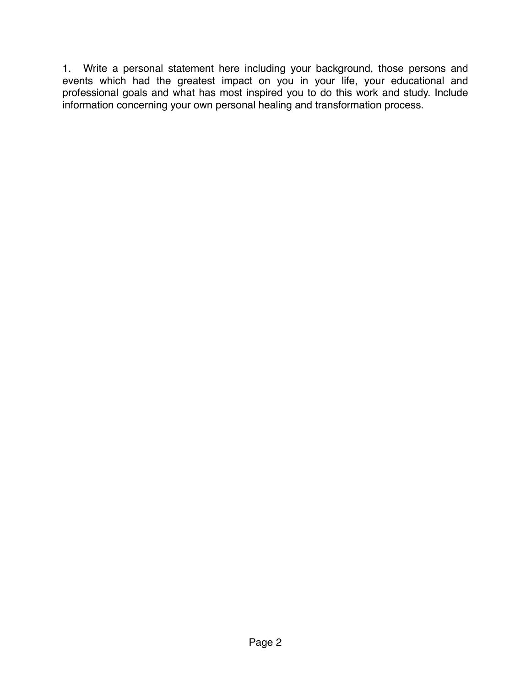1. Write a personal statement here including your background, those persons and events which had the greatest impact on you in your life, your educational and professional goals and what has most inspired you to do this work and study. Include information concerning your own personal healing and transformation process.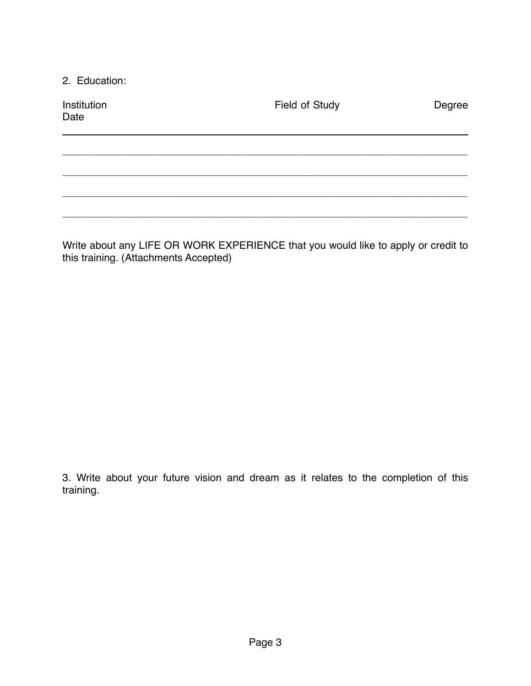2. Education:

| Institution<br>Date | Field of Study | Degree |
|---------------------|----------------|--------|
|                     |                |        |
|                     |                |        |
|                     |                |        |
|                     |                |        |

Write about any LIFE OR WORK EXPERIENCE that you would like to apply or credit to this training. (Attachments Accepted)

3. Write about your future vision and dream as it relates to the completion of this training.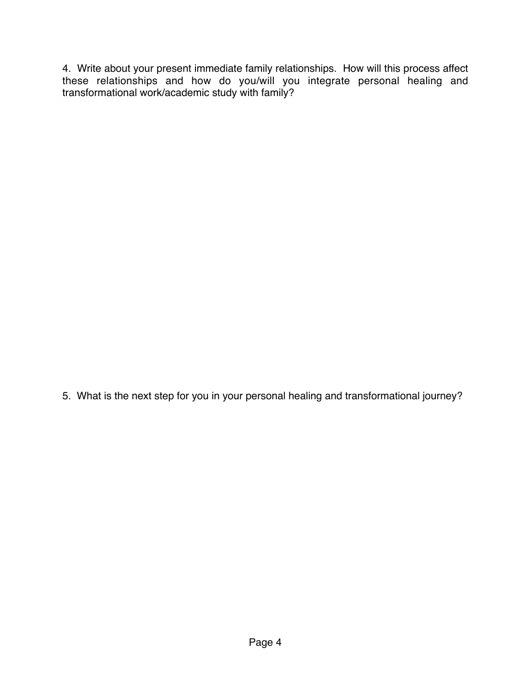4. Write about your present immediate family relationships. How will this process affect these relationships and how do you/will you integrate personal healing and transformational work/academic study with family?

5. What is the next step for you in your personal healing and transformational journey?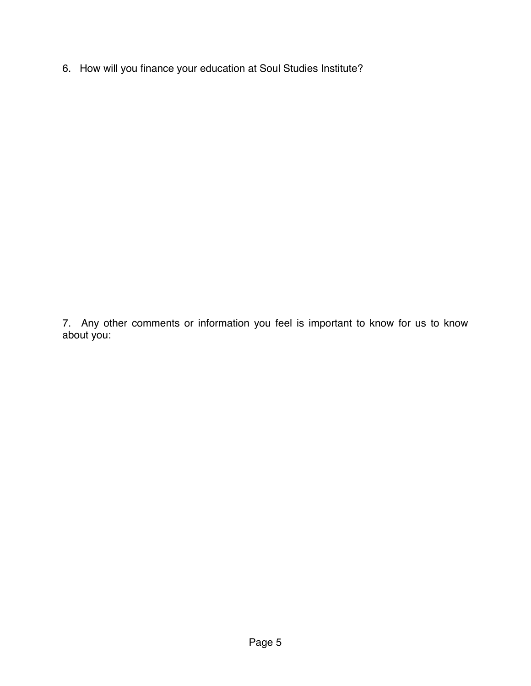6. How will you finance your education at Soul Studies Institute?

7. Any other comments or information you feel is important to know for us to know about you: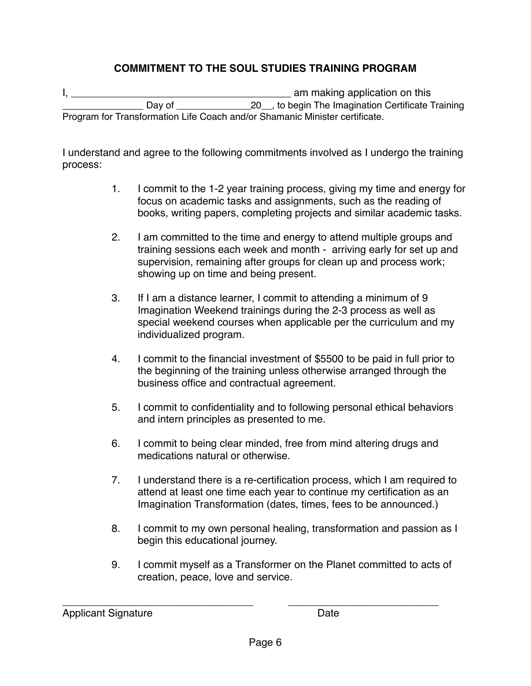## **COMMITMENT TO THE SOUL STUDIES TRAINING PROGRAM**

I, the contract of the contract of the contract of the contract of the contract of the contract of the contract of the contract of the contract of the contract of the contract of the contract of the contract of the contrac \_\_\_\_\_\_\_\_\_\_\_\_\_\_ Day of \_\_\_\_\_\_\_\_\_\_\_\_\_\_20\_\_, to begin The Imagination Certificate Training Program for Transformation Life Coach and/or Shamanic Minister certificate.

I understand and agree to the following commitments involved as I undergo the training process:

- 1. I commit to the 1-2 year training process, giving my time and energy for focus on academic tasks and assignments, such as the reading of books, writing papers, completing projects and similar academic tasks.
- 2. I am committed to the time and energy to attend multiple groups and training sessions each week and month - arriving early for set up and supervision, remaining after groups for clean up and process work; showing up on time and being present.
- 3. If I am a distance learner, I commit to attending a minimum of 9 Imagination Weekend trainings during the 2-3 process as well as special weekend courses when applicable per the curriculum and my individualized program.
- 4. I commit to the financial investment of \$5500 to be paid in full prior to the beginning of the training unless otherwise arranged through the business office and contractual agreement.
- 5. I commit to confidentiality and to following personal ethical behaviors and intern principles as presented to me.
- 6. I commit to being clear minded, free from mind altering drugs and medications natural or otherwise.
- 7. I understand there is a re-certification process, which I am required to attend at least one time each year to continue my certification as an Imagination Transformation (dates, times, fees to be announced.)
- 8. I commit to my own personal healing, transformation and passion as I begin this educational journey.
- 9. I commit myself as a Transformer on the Planet committed to acts of creation, peace, love and service.

| <b>Applicant Signature</b> | Date |
|----------------------------|------|
|                            |      |

\_\_\_\_\_\_\_\_\_\_\_\_\_\_\_\_\_\_\_\_\_\_\_\_\_\_\_\_\_\_\_\_\_ \_\_\_\_\_\_\_\_\_\_\_\_\_\_\_\_\_\_\_\_\_\_\_\_\_\_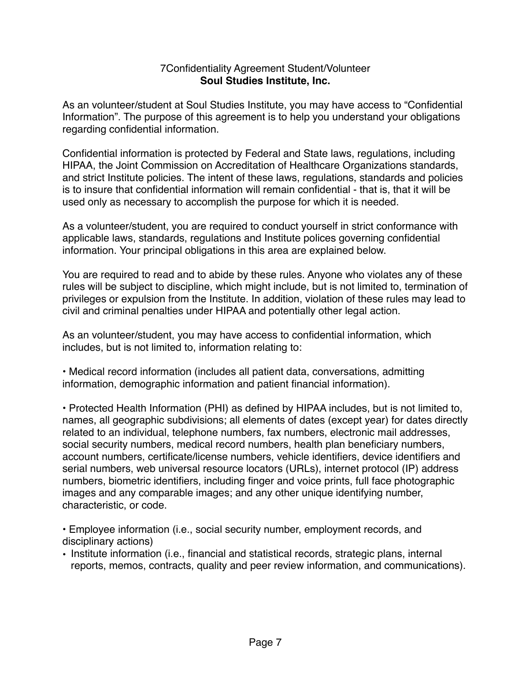## 7Confidentiality Agreement Student/Volunteer **Soul Studies Institute, Inc.**

As an volunteer/student at Soul Studies Institute, you may have access to "Confidential Information". The purpose of this agreement is to help you understand your obligations regarding confidential information.

Confidential information is protected by Federal and State laws, regulations, including HIPAA, the Joint Commission on Accreditation of Healthcare Organizations standards, and strict Institute policies. The intent of these laws, regulations, standards and policies is to insure that confidential information will remain confidential - that is, that it will be used only as necessary to accomplish the purpose for which it is needed.

As a volunteer/student, you are required to conduct yourself in strict conformance with applicable laws, standards, regulations and Institute polices governing confidential information. Your principal obligations in this area are explained below.

You are required to read and to abide by these rules. Anyone who violates any of these rules will be subject to discipline, which might include, but is not limited to, termination of privileges or expulsion from the Institute. In addition, violation of these rules may lead to civil and criminal penalties under HIPAA and potentially other legal action.

As an volunteer/student, you may have access to confidential information, which includes, but is not limited to, information relating to:

• Medical record information (includes all patient data, conversations, admitting information, demographic information and patient financial information).

• Protected Health Information (PHI) as defined by HIPAA includes, but is not limited to, names, all geographic subdivisions; all elements of dates (except year) for dates directly related to an individual, telephone numbers, fax numbers, electronic mail addresses, social security numbers, medical record numbers, health plan beneficiary numbers, account numbers, certificate/license numbers, vehicle identifiers, device identifiers and serial numbers, web universal resource locators (URLs), internet protocol (IP) address numbers, biometric identifiers, including finger and voice prints, full face photographic images and any comparable images; and any other unique identifying number, characteristic, or code.

• Employee information (i.e., social security number, employment records, and disciplinary actions)

• Institute information (i.e., financial and statistical records, strategic plans, internal reports, memos, contracts, quality and peer review information, and communications).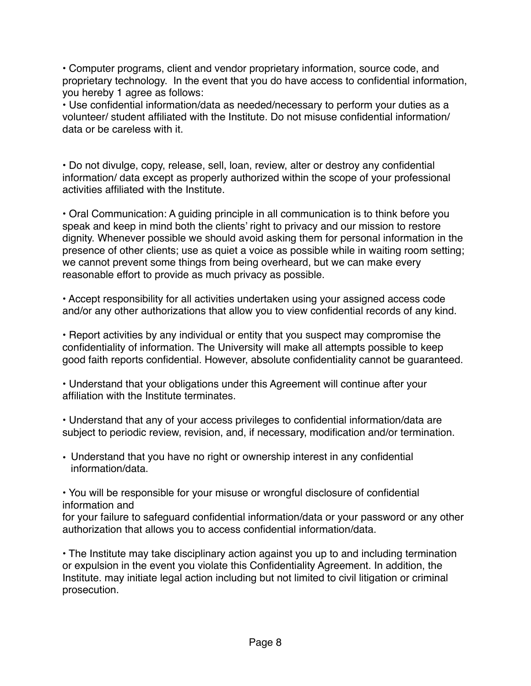• Computer programs, client and vendor proprietary information, source code, and proprietary technology. In the event that you do have access to confidential information, you hereby 1 agree as follows:

• Use confidential information/data as needed/necessary to perform your duties as a volunteer/ student affiliated with the Institute. Do not misuse confidential information/ data or be careless with it.

• Do not divulge, copy, release, sell, loan, review, alter or destroy any confidential information/ data except as properly authorized within the scope of your professional activities affiliated with the Institute.

• Oral Communication: A guiding principle in all communication is to think before you speak and keep in mind both the clients' right to privacy and our mission to restore dignity. Whenever possible we should avoid asking them for personal information in the presence of other clients; use as quiet a voice as possible while in waiting room setting; we cannot prevent some things from being overheard, but we can make every reasonable effort to provide as much privacy as possible.

• Accept responsibility for all activities undertaken using your assigned access code and/or any other authorizations that allow you to view confidential records of any kind.

• Report activities by any individual or entity that you suspect may compromise the confidentiality of information. The University will make all attempts possible to keep good faith reports confidential. However, absolute confidentiality cannot be guaranteed.

• Understand that your obligations under this Agreement will continue after your affiliation with the Institute terminates.

• Understand that any of your access privileges to confidential information/data are subject to periodic review, revision, and, if necessary, modification and/or termination.

• Understand that you have no right or ownership interest in any confidential information/data.

• You will be responsible for your misuse or wrongful disclosure of confidential information and

for your failure to safeguard confidential information/data or your password or any other authorization that allows you to access confidential information/data.

• The Institute may take disciplinary action against you up to and including termination or expulsion in the event you violate this Confidentiality Agreement. In addition, the Institute. may initiate legal action including but not limited to civil litigation or criminal prosecution.